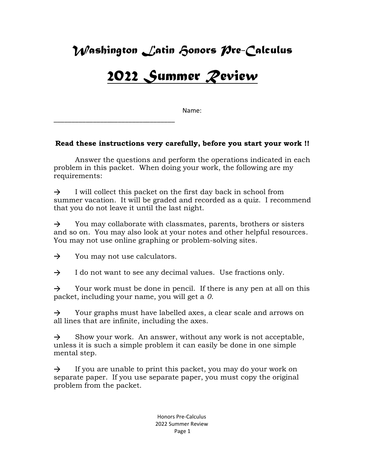## *Washington Latin Honors Pre-Calculus*

## *2022 Summer Review*

Name:

## **Read these instructions very carefully, before you start your work !!**

Answer the questions and perform the operations indicated in each problem in this packet. When doing your work, the following are my requirements:

 $\rightarrow$ I will collect this packet on the first day back in school from summer vacation. It will be graded and recorded as a quiz. I recommend that you do not leave it until the last night.

 $\rightarrow$ You may collaborate with classmates, parents, brothers or sisters and so on. You may also look at your notes and other helpful resources. You may not use online graphing or problem-solving sites.

 $\rightarrow$ You may not use calculators.

\_\_\_\_\_\_\_\_\_\_\_\_\_\_\_\_\_\_\_\_\_\_\_\_\_\_\_\_\_\_\_\_\_\_

 $\rightarrow$ I do not want to see any decimal values. Use fractions only.

 $\rightarrow$ Your work must be done in pencil. If there is any pen at all on this packet, including your name, you will get a *0*.

Your graphs must have labelled axes, a clear scale and arrows on  $\rightarrow$ all lines that are infinite, including the axes.

 $\rightarrow$ Show your work. An answer, without any work is not acceptable, unless it is such a simple problem it can easily be done in one simple mental step.

 $\rightarrow$ If you are unable to print this packet, you may do your work on separate paper. If you use separate paper, you must copy the original problem from the packet.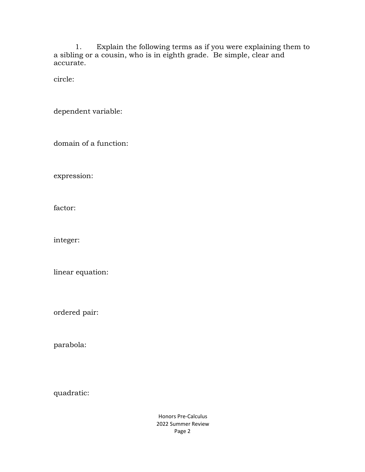1. Explain the following terms as if you were explaining them to a sibling or a cousin, who is in eighth grade. Be simple, clear and accurate.

circle:

dependent variable:

domain of a function:

expression:

factor:

integer:

linear equation:

ordered pair:

parabola:

quadratic: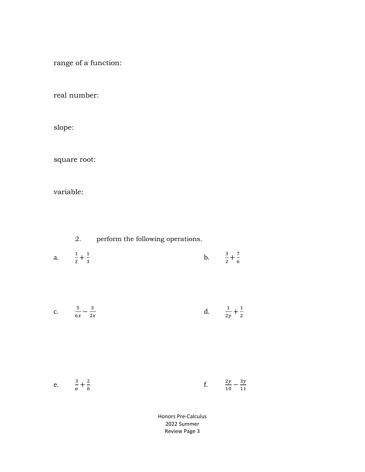range of a function:

real number:

slope:

square root:

variable:

| ۷. |  | perform the following operations. |
|----|--|-----------------------------------|
|    |  |                                   |

- a.  $\frac{1}{2}$  $\frac{1}{2} + \frac{1}{3}$ 3 b.  $\frac{3}{2} + \frac{7}{6}$ 6
- c.  $\frac{5}{6}$  $\frac{5}{6x} - \frac{3}{2x}$  $2x$ d.  $\frac{1}{2y} + \frac{1}{2}$ 2

| e. | 3, 2     | 2y            | 3y |
|----|----------|---------------|----|
|    | $\sigma$ | $10 \quad 11$ |    |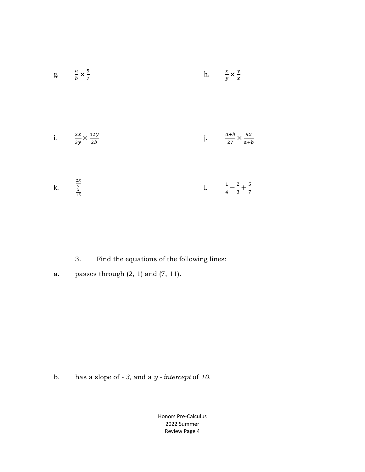

- 3. Find the equations of the following lines:
- a. passes through  $(2, 1)$  and  $(7, 11)$ .

b. has a slope of *- 3*, and a *y - intercept* of *10*.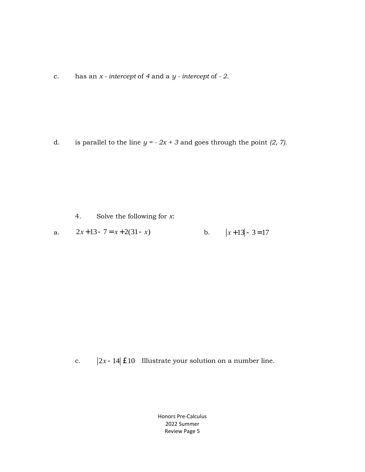c. has an *x - intercept* of *4* and a *y - intercept* of *- 2.*

d. is parallel to the line  $y = -2x + 3$  and goes through the point (2, 7).

4. Solve the following for *x*:

a.  $2x + 13 - 7 = x + 2(31 - x)$ b.  $|x+13|-3=17$ 

c.  $2x - 14 \n\pm 10$  Illustrate your solution on a number line.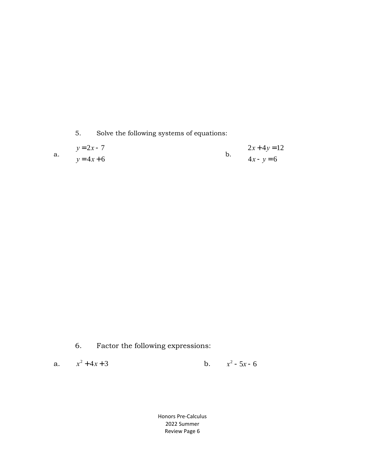5. Solve the following systems of equations:

| $y = 2x - 7$ |  | $2x + 4y = 12$ |
|--------------|--|----------------|
| $y = 4x + 6$ |  | $4x - y = 6$   |

6. Factor the following expressions:

a. 
$$
x^2 + 4x + 3
$$
 b.  $x^2 - 5x - 6$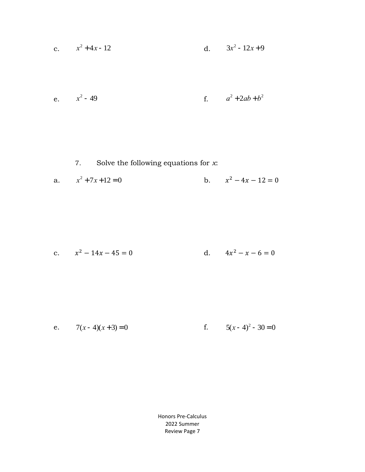c. 
$$
x^2 + 4x - 12
$$
 d.  $3x^2 - 12x + 9$ 

e. 
$$
x^2 - 49
$$
 f.  $a^2 + 2ab + b^2$ 

7. Solve the following equations for 
$$
x
$$
:

a. 
$$
x^2 + 7x + 12 = 0
$$
 b.  $x^2 - 4x - 12 = 0$ 

c. 
$$
x^2 - 14x - 45 = 0
$$
 d.  $4x^2 - x - 6 = 0$ 

e. 
$$
7(x-4)(x+3) = 0
$$
  
f.  $5(x-4)^2 - 30 = 0$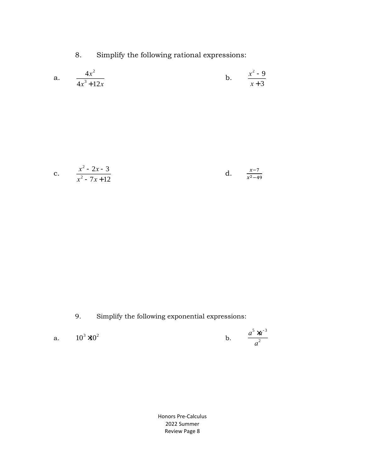8. Simplify the following rational expressions:

a. 
$$
\frac{4x^2}{4x^3 + 12x}
$$
 b.  $\frac{x^2 - 9}{x + 3}$ 

c. 
$$
\frac{x^2 - 2x - 3}{x^2 - 7x + 12}
$$
 d. 
$$
\frac{x - 7}{x^2 - 49}
$$

9. Simplify the following exponential expressions:

a. 
$$
10^3 \times 10^2
$$
 b.  $\frac{a^5 \times a^{-3}}{a^2}$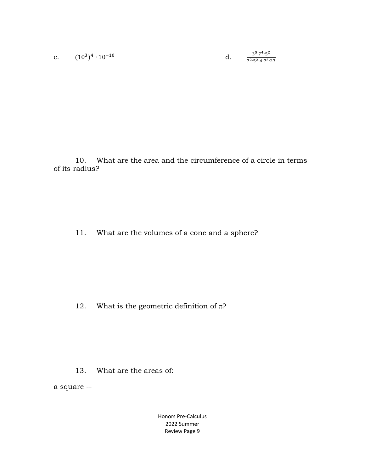c.  $(10^3)^4$ 

d. 3  $5.74.5^2$ 7 <sup>2</sup>∙5 <sup>2</sup>∙4∙7 <sup>2</sup>∙27

10. What are the area and the circumference of a circle in terms of its radius?

11. What are the volumes of a cone and a sphere?

12. What is the geometric definition of  $\pi$ ?

13. What are the areas of:

a square --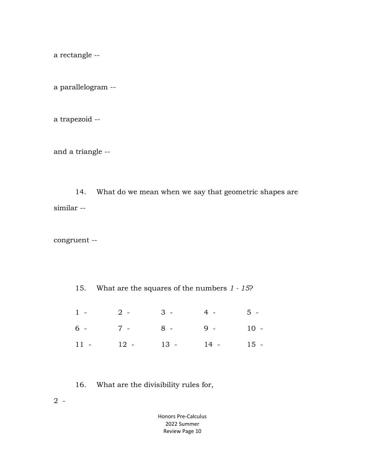a rectangle --

a parallelogram --

a trapezoid --

and a triangle --

14. What do we mean when we say that geometric shapes are similar --

congruent --

15. What are the squares of the numbers *1 - 15*?  $1 - 2 - 3 - 4 - 5 -$ 

 $6 - 7 - 8 - 9 - 10 11 - 12 - 13 - 14 - 15 -$ 

16. What are the divisibility rules for,

2 -